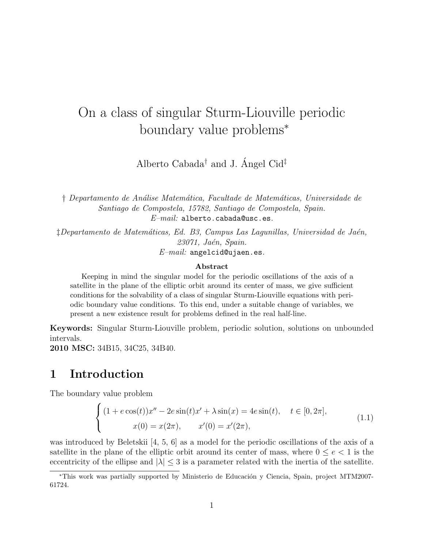# On a class of singular Sturm-Liouville periodic boundary value problems<sup>∗</sup>

Alberto Cabada<sup>†</sup> and J. Angel Cid<sup>‡</sup>

† Departamento de An´alise Matem´atica, Facultade de Matem´aticas, Universidade de Santiago de Compostela, 15782, Santiago de Compostela, Spain.  $E-mail:$  alberto.cabada@usc.es.

 $\ddagger$ Departamento de Matemáticas, Ed. B3, Campus Las Lagunillas, Universidad de Jaén,  $23071,~Ja\acute{e}n,~Spain.$  $E$ -mail: angelcid@ujaen.es.

#### Abstract

Keeping in mind the singular model for the periodic oscillations of the axis of a satellite in the plane of the elliptic orbit around its center of mass, we give sufficient conditions for the solvability of a class of singular Sturm-Liouville equations with periodic boundary value conditions. To this end, under a suitable change of variables, we present a new existence result for problems defined in the real half-line.

Keywords: Singular Sturm-Liouville problem, periodic solution, solutions on unbounded intervals.

2010 MSC: 34B15, 34C25, 34B40.

## 1 Introduction

The boundary value problem

$$
\begin{cases} (1 + e \cos(t))x'' - 2e \sin(t)x' + \lambda \sin(x) = 4e \sin(t), \quad t \in [0, 2\pi],\\ x(0) = x(2\pi), \qquad x'(0) = x'(2\pi), \end{cases}
$$
(1.1)

was introduced by Beletskii [4, 5, 6] as a model for the periodic oscillations of the axis of a satellite in the plane of the elliptic orbit around its center of mass, where  $0 \le e < 1$  is the eccentricity of the ellipse and  $|\lambda| \leq 3$  is a parameter related with the inertia of the satellite.

<sup>\*</sup>This work was partially supported by Ministerio de Educación y Ciencia, Spain, project MTM2007-61724.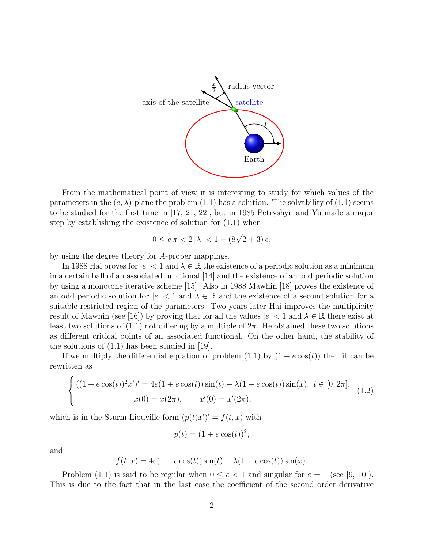

From the mathematical point of view it is interesting to study for which values of the parameters in the  $(e, \lambda)$ -plane the problem (1.1) has a solution. The solvability of (1.1) seems to be studied for the first time in [17, 21, 22], but in 1985 Petryshyn and Yu made a major step by establishing the existence of solution for (1.1) when

$$
0 \le e \pi < 2|\lambda| < 1 - (8\sqrt{2} + 3)e,
$$

by using the degree theory for A-proper mappings.

In 1988 Hai proves for  $|e| < 1$  and  $\lambda \in \mathbb{R}$  the existence of a periodic solution as a minimum in a certain ball of an associated functional [14] and the existence of an odd periodic solution by using a monotone iterative scheme [15]. Also in 1988 Mawhin [18] proves the existence of an odd periodic solution for  $|e| < 1$  and  $\lambda \in \mathbb{R}$  and the existence of a second solution for a suitable restricted region of the parameters. Two years later Hai improves the multiplicity result of Mawhin (see [16]) by proving that for all the values  $|e| < 1$  and  $\lambda \in \mathbb{R}$  there exist at least two solutions of  $(1.1)$  not differing by a multiple of  $2\pi$ . He obtained these two solutions as different critical points of an associated functional. On the other hand, the stability of the solutions of (1.1) has been studied in [19].

If we multiply the differential equation of problem  $(1.1)$  by  $(1 + e \cos(t))$  then it can be rewritten as

$$
\begin{cases} ((1 + e \cos(t))^2 x')' = 4e(1 + e \cos(t)) \sin(t) - \lambda (1 + e \cos(t)) \sin(x), \ t \in [0, 2\pi], \\ x(0) = x(2\pi), \qquad x'(0) = x'(2\pi), \end{cases}
$$
(1.2)

which is in the Sturm-Liouville form  $(p(t)x')' = f(t, x)$  with

$$
p(t) = (1 + e \cos(t))^2,
$$

and

$$
f(t, x) = 4e(1 + e \cos(t))\sin(t) - \lambda(1 + e \cos(t))\sin(x).
$$

Problem (1.1) is said to be regular when  $0 \le e < 1$  and singular for  $e = 1$  (see [9, 10]). This is due to the fact that in the last case the coefficient of the second order derivative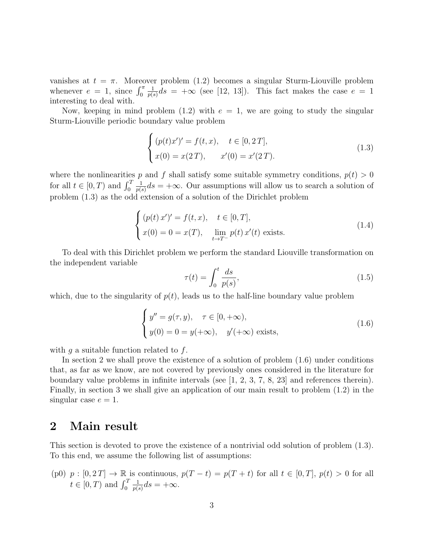vanishes at  $t = \pi$ . Moreover problem (1.2) becomes a singular Sturm-Liouville problem whenever  $e = 1$ , since  $\int_0^{\pi}$ 1  $\frac{1}{p(s)}ds = +\infty$  (see [12, 13]). This fact makes the case  $e = 1$ interesting to deal with.

Now, keeping in mind problem (1.2) with  $e = 1$ , we are going to study the singular Sturm-Liouville periodic boundary value problem

$$
\begin{cases} (p(t)x')' = f(t, x), \quad t \in [0, 2T], \\ x(0) = x(2T), \quad x'(0) = x'(2T). \end{cases}
$$
\n(1.3)

where the nonlinearities p and f shall satisfy some suitable symmetry conditions,  $p(t) > 0$ for all  $t \in [0, T)$  and  $\int_0^T$ 1  $\frac{1}{p(s)}ds = +\infty$ . Our assumptions will allow us to search a solution of problem (1.3) as the odd extension of a solution of the Dirichlet problem

$$
\begin{cases} (p(t) x')' = f(t, x), \quad t \in [0, T],\\ x(0) = 0 = x(T), \quad \lim_{t \to T^{-}} p(t) x'(t) \text{ exists.} \end{cases}
$$
 (1.4)

To deal with this Dirichlet problem we perform the standard Liouville transformation on the independent variable

$$
\tau(t) = \int_0^t \frac{ds}{p(s)},\tag{1.5}
$$

which, due to the singularity of  $p(t)$ , leads us to the half-line boundary value problem

$$
\begin{cases}\ny'' = g(\tau, y), & \tau \in [0, +\infty), \\
y(0) = 0 = y(+\infty), & y'(+\infty) \text{ exists,} \n\end{cases}
$$
\n(1.6)

with  $g$  a suitable function related to  $f$ .

In section 2 we shall prove the existence of a solution of problem (1.6) under conditions that, as far as we know, are not covered by previously ones considered in the literature for boundary value problems in infinite intervals (see [1, 2, 3, 7, 8, 23] and references therein). Finally, in section 3 we shall give an application of our main result to problem (1.2) in the singular case  $e = 1$ .

#### 2 Main result

This section is devoted to prove the existence of a nontrivial odd solution of problem (1.3). To this end, we assume the following list of assumptions:

(p0)  $p : [0, 2T] \to \mathbb{R}$  is continuous,  $p(T - t) = p(T + t)$  for all  $t \in [0, T]$ ,  $p(t) > 0$  for all  $t \in [0, T)$  and  $\int_0^T$ 1  $\frac{1}{p(s)}ds = +\infty.$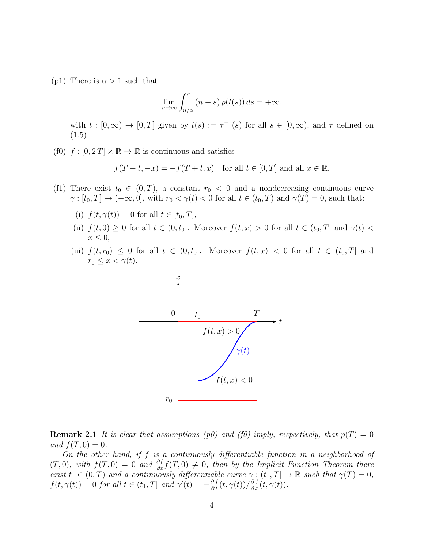(p1) There is  $\alpha > 1$  such that

$$
\lim_{n \to \infty} \int_{n/\alpha}^{n} (n - s) p(t(s)) ds = +\infty,
$$

with  $t : [0, \infty) \to [0, T]$  given by  $t(s) := \tau^{-1}(s)$  for all  $s \in [0, \infty)$ , and  $\tau$  defined on  $(1.5).$ 

(f0)  $f : [0, 2T] \times \mathbb{R} \to \mathbb{R}$  is continuous and satisfies

$$
f(T-t,-x) = -f(T+t,x) \quad \text{for all } t \in [0,T] \text{ and all } x \in \mathbb{R}.
$$

- (f1) There exist  $t_0 \in (0,T)$ , a constant  $r_0 < 0$  and a nondecreasing continuous curve  $\gamma : [t_0, T] \to (-\infty, 0]$ , with  $r_0 < \gamma(t) < 0$  for all  $t \in (t_0, T)$  and  $\gamma(T) = 0$ , such that:
	- (i)  $f(t, \gamma(t)) = 0$  for all  $t \in [t_0, T]$ ,
	- (ii)  $f(t, 0) \ge 0$  for all  $t \in (0, t_0]$ . Moreover  $f(t, x) > 0$  for all  $t \in (t_0, T]$  and  $\gamma(t) <$  $x \leq 0$ ,
	- (iii)  $f(t,r_0) \leq 0$  for all  $t \in (0,t_0]$ . Moreover  $f(t,x) < 0$  for all  $t \in (t_0,T]$  and  $r_0 \leq x < \gamma(t)$ .



**Remark 2.1** It is clear that assumptions (p0) and (f0) imply, respectively, that  $p(T) = 0$ and  $f(T, 0) = 0$ .

On the other hand, if f is a continuously differentiable function in a neighborhood of  $(T,0)$ , with  $f(T,0) = 0$  and  $\frac{\partial f}{\partial x}f(T,0) \neq 0$ , then by the Implicit Function Theorem there exist  $t_1 \in (0,T)$  and a continuously differentiable curve  $\gamma : (t_1,T] \to \mathbb{R}$  such that  $\gamma(T) = 0$ ,  $f(t, \gamma(t)) = 0$  for all  $t \in (t_1, T]$  and  $\gamma'(t) = -\frac{\partial f}{\partial t}(t, \gamma(t))/\frac{\partial f}{\partial x}(t, \gamma(t)).$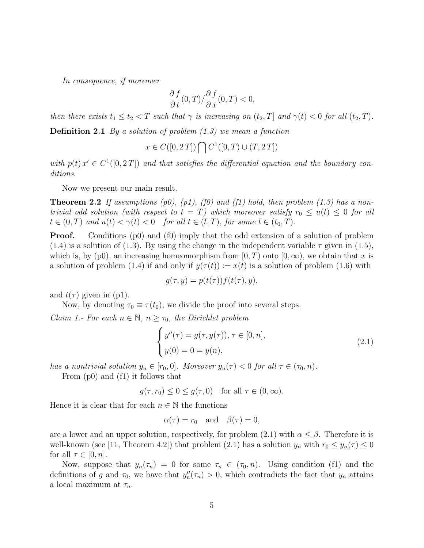In consequence, if moreover

$$
\frac{\partial f}{\partial t}(0,T)/\frac{\partial f}{\partial x}(0,T)<0,
$$

then there exists  $t_1 \le t_2 < T$  such that  $\gamma$  is increasing on  $(t_2, T]$  and  $\gamma(t) < 0$  for all  $(t_2, T)$ .

**Definition 2.1** By a solution of problem  $(1.3)$  we mean a function

$$
x \in C([0, 2T]) \bigcap C^1([0, T) \cup (T, 2T])
$$

with  $p(t)$   $x' \in C^1([0, 2T])$  and that satisfies the differential equation and the boundary conditions.

Now we present our main result.

**Theorem 2.2** If assumptions  $(p0)$ ,  $(p1)$ ,  $(f0)$  and  $(f1)$  hold, then problem (1.3) has a nontrivial odd solution (with respect to  $t = T$ ) which moreover satisfy  $r_0 \leq u(t) \leq 0$  for all  $t \in (0,T)$  and  $u(t) < \gamma(t) < 0$  for all  $t \in (\bar{t},T)$ , for some  $\bar{t} \in (t_0,T)$ .

**Proof.** Conditions (p0) and (f0) imply that the odd extension of a solution of problem  $(1.4)$  is a solution of (1.3). By using the change in the independent variable  $\tau$  given in (1.5), which is, by (p0), an increasing homeomorphism from  $[0, T)$  onto  $[0, \infty)$ , we obtain that x is a solution of problem (1.4) if and only if  $y(\tau(t)) := x(t)$  is a solution of problem (1.6) with

$$
g(\tau, y) = p(t(\tau))f(t(\tau), y),
$$

and  $t(\tau)$  given in (p1).

Now, by denoting  $\tau_0 \equiv \tau(t_0)$ , we divide the proof into several steps. Claim 1.- For each  $n \in \mathbb{N}$ ,  $n \geq \tau_0$ , the Dirichlet problem

$$
\begin{cases}\ny''(\tau) = g(\tau, y(\tau)), \, \tau \in [0, n], \\
y(0) = 0 = y(n),\n\end{cases}
$$
\n(2.1)

has a nontrivial solution  $y_n \in [r_0, 0]$ . Moreover  $y_n(\tau) < 0$  for all  $\tau \in (\tau_0, n)$ .

From (p0) and (f1) it follows that

 $g(\tau, r_0) \leq 0 \leq g(\tau, 0)$  for all  $\tau \in (0, \infty)$ .

Hence it is clear that for each  $n \in \mathbb{N}$  the functions

$$
\alpha(\tau) = r_0 \quad \text{and} \quad \beta(\tau) = 0,
$$

are a lower and an upper solution, respectively, for problem (2.1) with  $\alpha \leq \beta$ . Therefore it is well-known (see [11, Theorem 4.2]) that problem (2.1) has a solution  $y_n$  with  $r_0 \le y_n(\tau) \le 0$ for all  $\tau \in [0, n]$ .

Now, suppose that  $y_n(\tau_n) = 0$  for some  $\tau_n \in (\tau_0, n)$ . Using condition (f1) and the definitions of g and  $\tau_0$ , we have that  $y''_n(\tau_n) > 0$ , which contradicts the fact that  $y_n$  attains a local maximum at  $\tau_n$ .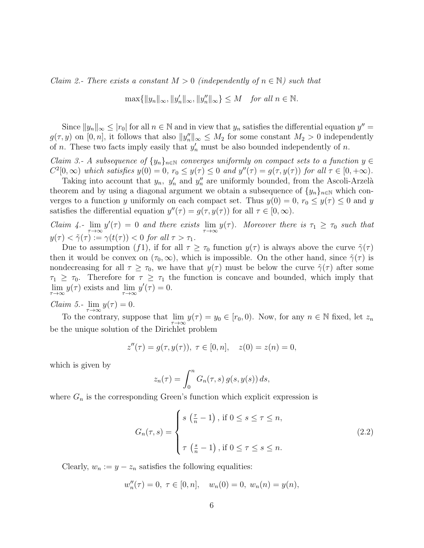Claim 2.- There exists a constant  $M > 0$  (independently of  $n \in \mathbb{N}$ ) such that

$$
\max\{\|y_n\|_{\infty}, \|y_n'\|_{\infty}, \|y_n''\|_{\infty}\} \le M \quad \text{for all } n \in \mathbb{N}.
$$

Since  $||y_n||_{\infty} \leq |r_0|$  for all  $n \in \mathbb{N}$  and in view that  $y_n$  satisfies the differential equation  $y'' =$  $g(\tau, y)$  on  $[0, n]$ , it follows that also  $||y''_n||_{\infty} \leq M_2$  for some constant  $M_2 > 0$  independently of n. These two facts imply easily that  $y'_n$  must be also bounded independently of n.

Claim 3.- A subsequence of  $\{y_n\}_{n\in\mathbb{N}}$  converges uniformly on compact sets to a function  $y \in$  $C^2[0,\infty)$  which satisfies  $y(0) = 0$ ,  $r_0 \le y(\tau) \le 0$  and  $y''(\tau) = g(\tau, y(\tau))$  for all  $\tau \in [0, +\infty)$ .

Taking into account that  $y_n$ ,  $y'_n$  and  $y''_n$  are uniformly bounded, from the Ascoli-Arzelà theorem and by using a diagonal argument we obtain a subsequence of  $\{y_n\}_{n\in\mathbb{N}}$  which converges to a function y uniformly on each compact set. Thus  $y(0) = 0$ ,  $r_0 \le y(\tau) \le 0$  and y satisfies the differential equation  $y''(\tau) = g(\tau, y(\tau))$  for all  $\tau \in [0, \infty)$ .

Claim 4.-  $\lim_{\tau \to \infty} y'(\tau) = 0$  and there exists  $\lim_{\tau \to \infty} y(\tau)$ . Moreover there is  $\tau_1 \geq \tau_0$  such that  $y(\tau) < \tilde{\gamma}(\tau) := \gamma(t(\tau)) < 0$  for all  $\tau > \tau_1$ .

Due to assumption (f1), if for all  $\tau \geq \tau_0$  function  $y(\tau)$  is always above the curve  $\tilde{\gamma}(\tau)$ then it would be convex on  $(\tau_0, \infty)$ , which is impossible. On the other hand, since  $\tilde{\gamma}(\tau)$  is nondecreasing for all  $\tau \geq \tau_0$ , we have that  $y(\tau)$  must be below the curve  $\tilde{\gamma}(\tau)$  after some  $\tau_1 \geq \tau_0$ . Therefore for  $\tau \geq \tau_1$  the function is concave and bounded, which imply that  $\lim_{\tau \to \infty} y(\tau)$  exists and  $\lim_{\tau \to \infty} y'(\tau) = 0$ .

# Claim 5.-  $\lim_{\tau \to \infty} y(\tau) = 0.$

To the contrary, suppose that  $\lim_{\tau\to\infty} y(\tau) = y_0 \in [r_0, 0)$ . Now, for any  $n \in \mathbb{N}$  fixed, let  $z_n$ be the unique solution of the Dirichlet problem

$$
z''(\tau) = g(\tau, y(\tau)), \ \tau \in [0, n], \quad z(0) = z(n) = 0,
$$

which is given by

$$
z_n(\tau) = \int_0^n G_n(\tau, s) g(s, y(s)) ds,
$$

where  $G_n$  is the corresponding Green's function which explicit expression is

$$
G_n(\tau, s) = \begin{cases} s\left(\frac{\tau}{n} - 1\right), \text{ if } 0 \le s \le \tau \le n, \\ \tau\left(\frac{s}{n} - 1\right), \text{ if } 0 \le \tau \le s \le n. \end{cases} \tag{2.2}
$$

Clearly,  $w_n := y - z_n$  satisfies the following equalities:

$$
w_n''(\tau) = 0, \ \tau \in [0, n], \quad w_n(0) = 0, \ w_n(n) = y(n),
$$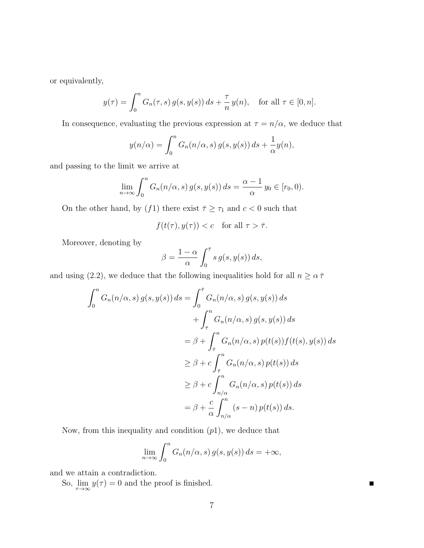or equivalently,

$$
y(\tau) = \int_0^n G_n(\tau, s) g(s, y(s)) ds + \frac{\tau}{n} y(n), \quad \text{for all } \tau \in [0, n].
$$

In consequence, evaluating the previous expression at  $\tau = n/\alpha$ , we deduce that

$$
y(n/\alpha) = \int_0^n G_n(n/\alpha, s) g(s, y(s)) ds + \frac{1}{\alpha} y(n),
$$

and passing to the limit we arrive at

$$
\lim_{n \to \infty} \int_0^n G_n(n/\alpha, s) g(s, y(s)) ds = \frac{\alpha - 1}{\alpha} y_0 \in [r_0, 0).
$$

On the other hand, by  $(f1)$  there exist  $\bar{\tau} \geq \tau_1$  and  $c < 0$  such that

$$
f(t(\tau), y(\tau)) < c \quad \text{for all } \tau > \bar{\tau}.
$$

Moreover, denoting by

$$
\beta = \frac{1-\alpha}{\alpha} \int_0^{\bar{\tau}} s g(s, y(s)) ds,
$$

and using (2.2), we deduce that the following inequalities hold for all  $n \geq \alpha \bar{\tau}$ 

$$
\int_0^n G_n(n/\alpha, s) g(s, y(s)) ds = \int_0^{\overline{\tau}} G_n(n/\alpha, s) g(s, y(s)) ds
$$
  
+ 
$$
\int_{\overline{\tau}}^n G_n(n/\alpha, s) g(s, y(s)) ds
$$
  
= 
$$
\beta + \int_{\overline{\tau}}^n G_n(n/\alpha, s) p(t(s)) f(t(s), y(s)) ds
$$
  

$$
\geq \beta + c \int_{\overline{\tau}}^n G_n(n/\alpha, s) p(t(s)) ds
$$
  

$$
\geq \beta + c \int_{n/\alpha}^n G_n(n/\alpha, s) p(t(s)) ds
$$
  
= 
$$
\beta + \frac{c}{\alpha} \int_{n/\alpha}^n (s - n) p(t(s)) ds.
$$

Now, from this inequality and condition  $(p1)$ , we deduce that

$$
\lim_{n \to \infty} \int_0^n G_n(n/\alpha, s) g(s, y(s)) ds = +\infty,
$$

and we attain a contradiction.

So,  $\lim_{\tau \to \infty} y(\tau) = 0$  and the proof is finished.

П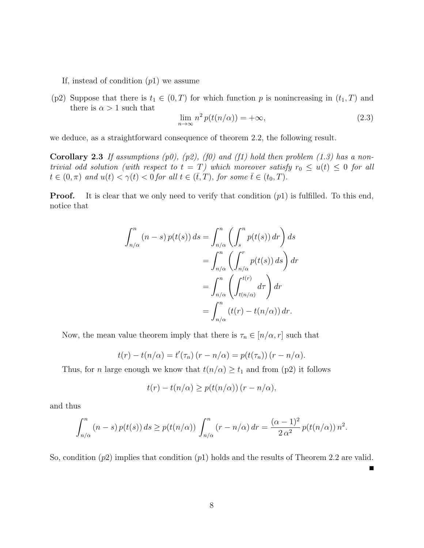If, instead of condition  $(p1)$  we assume

(p2) Suppose that there is  $t_1 \in (0,T)$  for which function p is nonincreasing in  $(t_1,T)$  and there is  $\alpha > 1$  such that

$$
\lim_{n \to \infty} n^2 p(t(n/\alpha)) = +\infty,
$$
\n(2.3)

we deduce, as a straightforward consequence of theorem 2.2, the following result.

**Corollary 2.3** If assumptions  $(p0)$ ,  $(p2)$ ,  $(f0)$  and  $(f1)$  hold then problem  $(1.3)$  has a nontrivial odd solution (with respect to  $t = T$ ) which moreover satisfy  $r_0 \leq u(t) \leq 0$  for all  $t \in (0, \pi)$  and  $u(t) < \gamma(t) < 0$  for all  $t \in (\bar{t}, T)$ , for some  $\bar{t} \in (t_0, T)$ .

**Proof.** It is clear that we only need to verify that condition  $(p1)$  is fulfilled. To this end, notice that

$$
\int_{n/\alpha}^{n} (n-s) p(t(s)) ds = \int_{n/\alpha}^{n} \left( \int_{s}^{n} p(t(s)) dr \right) ds
$$
  

$$
= \int_{n/\alpha}^{n} \left( \int_{n/\alpha}^{r} p(t(s)) ds \right) dr
$$
  

$$
= \int_{n/\alpha}^{n} \left( \int_{t(n/\alpha)}^{t(r)} d\tau \right) dr
$$
  

$$
= \int_{n/\alpha}^{n} (t(r) - t(n/\alpha)) dr.
$$

Now, the mean value theorem imply that there is  $\tau_n \in [n/\alpha, r]$  such that

$$
t(r) - t(n/\alpha) = t'(\tau_n) (r - n/\alpha) = p(t(\tau_n)) (r - n/\alpha).
$$

Thus, for *n* large enough we know that  $t(n/\alpha) \geq t_1$  and from (p2) it follows

$$
t(r) - t(n/\alpha) \ge p(t(n/\alpha)) (r - n/\alpha),
$$

and thus

$$
\int_{n/\alpha}^n (n-s) p(t(s)) ds \ge p(t(n/\alpha)) \int_{n/\alpha}^n (r-n/\alpha) dr = \frac{(\alpha-1)^2}{2 \alpha^2} p(t(n/\alpha)) n^2.
$$

So, condition  $(p2)$  implies that condition  $(p1)$  holds and the results of Theorem 2.2 are valid.

Г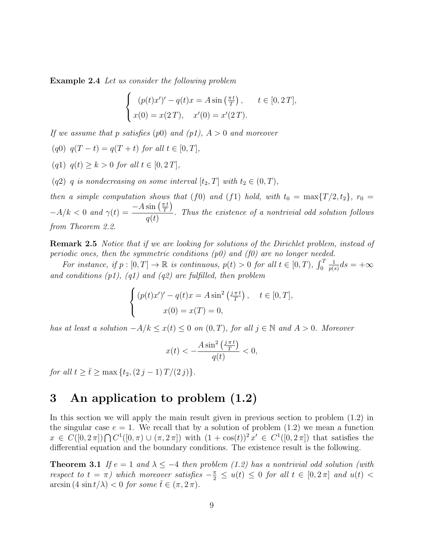Example 2.4 Let us consider the following problem

$$
\begin{cases}\n(p(t)x')' - q(t)x = A \sin\left(\frac{\pi t}{T}\right), & t \in [0, 2T], \\
x(0) = x(2T), & x'(0) = x'(2T).\n\end{cases}
$$

If we assume that p satisfies (p0) and (p1),  $A > 0$  and moreover

- (q0)  $q(T-t) = q(T+t)$  for all  $t \in [0, T]$ ,
- (q1)  $q(t) > k > 0$  for all  $t \in [0, 2T]$ ,
- (q2) q is nondecreasing on some interval  $[t_2, T]$  with  $t_2 \in (0, T)$ ,

then a simple computation shows that (f0) and (f1) hold, with  $t_0 = \max\{T/2, t_2\}$ ,  $r_0 =$  $-A/k < 0$  and  $\gamma(t) = \frac{-A \sin\left(\frac{\pi t}{T}\right)}{t}$  $\frac{\pi t}{T}\Big)$  $q(t)$ . Thus the existence of a nontrivial odd solution follows from Theorem 2.2.

Remark 2.5 Notice that if we are looking for solutions of the Dirichlet problem, instead of periodic ones, then the symmetric conditions  $(p0)$  and  $(f0)$  are no longer needed.

For instance, if  $p : [0, T] \to \mathbb{R}$  is continuous,  $p(t) > 0$  for all  $t \in [0, T)$ ,  $\int_0^T$ 1  $\frac{1}{p(s)}ds=+\infty$ and conditions  $(p1)$ ,  $(q1)$  and  $(q2)$  are fulfilled, then problem

$$
\begin{cases} (p(t)x')' - q(t)x = A \sin^2(\frac{j \pi t}{T}), \quad t \in [0, T], \\ x(0) = x(T) = 0, \end{cases}
$$

has at least a solution  $-A/k \leq x(t) \leq 0$  on  $(0, T)$ , for all  $j \in \mathbb{N}$  and  $A > 0$ . Moreover

$$
x(t) < -\frac{A\sin^2\left(\frac{j\pi t}{T}\right)}{q(t)} < 0,
$$

for all  $t > \overline{t} > \max\{t_2, (2j-1)T/(2j)\}.$ 

### 3 An application to problem (1.2)

In this section we will apply the main result given in previous section to problem (1.2) in the singular case  $e = 1$ . We recall that by a solution of problem  $(1.2)$  we mean a function  $x \in C([0, 2\pi]) \cap C^1([0, \pi) \cup (\pi, 2\pi])$  with  $(1 + \cos(t))^2 x' \in C^1([0, 2\pi])$  that satisfies the differential equation and the boundary conditions. The existence result is the following.

**Theorem 3.1** If  $e = 1$  and  $\lambda \leq -4$  then problem (1.2) has a nontrivial odd solution (with respect to  $t = \pi$ ) which moreover satisfies  $-\frac{\pi}{2} \le u(t) \le 0$  for all  $t \in [0, 2\pi]$  and  $u(t) <$  $\arcsin (4 \sin t/\lambda) < 0$  for some  $\overline{t} \in (\pi, 2\pi)$ .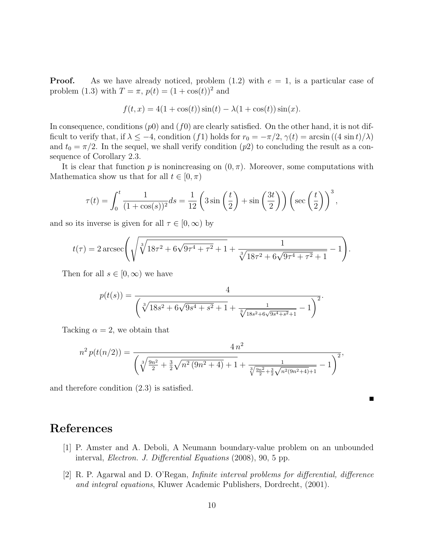**Proof.** As we have already noticed, problem  $(1.2)$  with  $e = 1$ , is a particular case of problem (1.3) with  $T = \pi$ ,  $p(t) = (1 + \cos(t))^2$  and

$$
f(t, x) = 4(1 + \cos(t))\sin(t) - \lambda(1 + \cos(t))\sin(x).
$$

In consequence, conditions  $(p0)$  and  $(f0)$  are clearly satisfied. On the other hand, it is not difficult to verify that, if  $\lambda \leq -4$ , condition (f1) holds for  $r_0 = -\pi/2$ ,  $\gamma(t) = \arcsin((4 \sin t)/\lambda)$ and  $t_0 = \pi/2$ . In the sequel, we shall verify condition  $(p2)$  to concluding the result as a consequence of Corollary 2.3.

It is clear that function p is nonincreasing on  $(0, \pi)$ . Moreover, some computations with Mathematica show us that for all  $t \in [0, \pi)$ 

$$
\tau(t) = \int_0^t \frac{1}{(1 + \cos(s))^2} ds = \frac{1}{12} \left( 3 \sin\left(\frac{t}{2}\right) + \sin\left(\frac{3t}{2}\right) \right) \left( \sec\left(\frac{t}{2}\right) \right)^3,
$$

and so its inverse is given for all  $\tau \in [0, \infty)$  by

$$
t(\tau) = 2 \operatorname{arcsec}\left(\sqrt{\sqrt[3]{18\tau^2 + 6\sqrt{9\tau^4 + \tau^2} + 1} + \frac{1}{\sqrt[3]{18\tau^2 + 6\sqrt{9\tau^4 + \tau^2} + 1}} - 1}\right).
$$

Then for all  $s \in [0, \infty)$  we have

$$
p(t(s)) = \frac{4}{\left(\sqrt[3]{18s^2 + 6\sqrt{9s^4 + s^2} + 1} + \frac{1}{\sqrt[3]{18s^2 + 6\sqrt{9s^4 + s^2} + 1}} - 1\right)^2}.
$$

Tacking  $\alpha = 2$ , we obtain that

$$
n^{2} p(t(n/2)) = \frac{4 n^{2}}{\left(\sqrt[3]{\frac{9n^{2}}{2} + \frac{3}{2}\sqrt{n^{2}(9n^{2} + 4)} + 1} + \frac{1}{\sqrt[3]{\frac{9n^{2}}{2} + \frac{3}{2}\sqrt{n^{2}(9n^{2} + 4)} + 1}} - 1\right)^{2}},
$$

and therefore condition (2.3) is satisfied.

# References

- [1] P. Amster and A. Deboli, A Neumann boundary-value problem on an unbounded interval, Electron. J. Differential Equations (2008), 90, 5 pp.
- [2] R. P. Agarwal and D. O'Regan, Infinite interval problems for differential, difference and integral equations, Kluwer Academic Publishers, Dordrecht, (2001).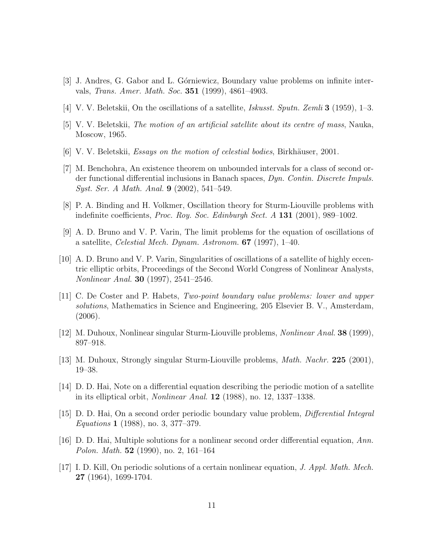- [3] J. Andres, G. Gabor and L. Górniewicz, Boundary value problems on infinite intervals, Trans. Amer. Math. Soc. 351 (1999), 4861–4903.
- [4] V. V. Beletskii, On the oscillations of a satellite, *Iskusst. Sputn. Zemli* **3** (1959), 1–3.
- [5] V. V. Beletskii, The motion of an artificial satellite about its centre of mass, Nauka, Moscow, 1965.
- [6] V. V. Beletskii, *Essays on the motion of celestial bodies*, Birkhäuser, 2001.
- [7] M. Benchohra, An existence theorem on unbounded intervals for a class of second order functional differential inclusions in Banach spaces, Dyn. Contin. Discrete Impuls. Syst. Ser. A Math. Anal. 9 (2002), 541–549.
- [8] P. A. Binding and H. Volkmer, Oscillation theory for Sturm-Liouville problems with indefinite coefficients, Proc. Roy. Soc. Edinburgh Sect. A 131 (2001), 989–1002.
- [9] A. D. Bruno and V. P. Varin, The limit problems for the equation of oscillations of a satellite, *Celestial Mech. Dynam. Astronom.*  $67$  (1997), 1–40.
- [10] A. D. Bruno and V. P. Varin, Singularities of oscillations of a satellite of highly eccentric elliptic orbits, Proceedings of the Second World Congress of Nonlinear Analysts, Nonlinear Anal. 30 (1997), 2541–2546.
- [11] C. De Coster and P. Habets, Two-point boundary value problems: lower and upper solutions, Mathematics in Science and Engineering, 205 Elsevier B. V., Amsterdam, (2006).
- [12] M. Duhoux, Nonlinear singular Sturm-Liouville problems, Nonlinear Anal. 38 (1999), 897–918.
- [13] M. Duhoux, Strongly singular Sturm-Liouville problems, Math. Nachr. 225 (2001), 19–38.
- [14] D. D. Hai, Note on a differential equation describing the periodic motion of a satellite in its elliptical orbit, Nonlinear Anal. 12 (1988), no. 12, 1337–1338.
- [15] D. D. Hai, On a second order periodic boundary value problem, Differential Integral Equations 1 (1988), no. 3, 377–379.
- [16] D. D. Hai, Multiple solutions for a nonlinear second order differential equation, Ann. Polon. Math. 52 (1990), no. 2, 161–164
- [17] I. D. Kill, On periodic solutions of a certain nonlinear equation, J. Appl. Math. Mech. 27 (1964), 1699-1704.